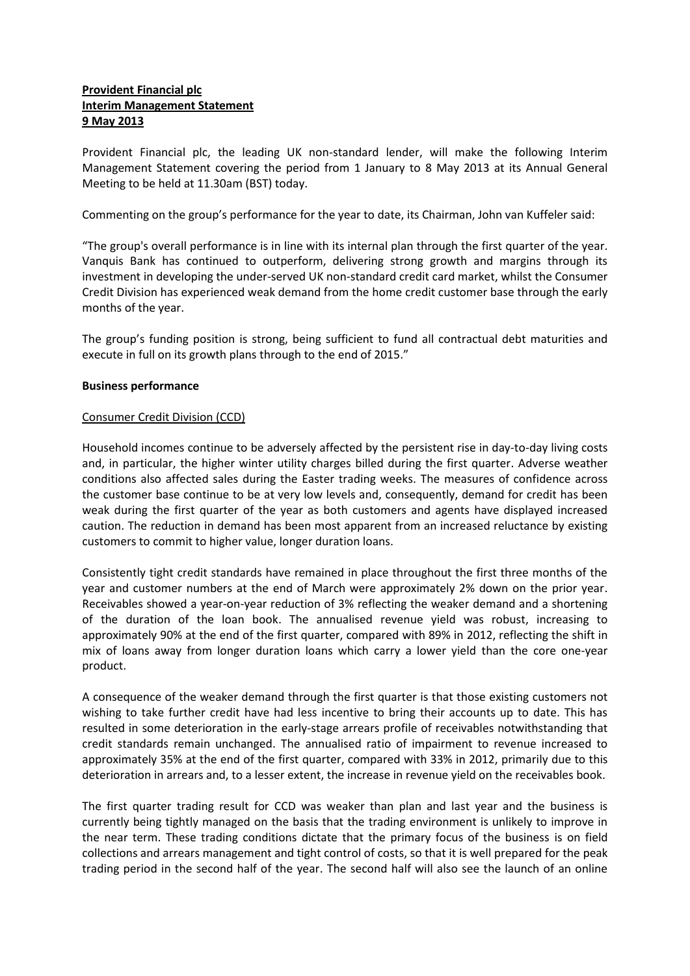# **Provident Financial plc Interim Management Statement 9 May 2013**

Provident Financial plc, the leading UK non-standard lender, will make the following Interim Management Statement covering the period from 1 January to 8 May 2013 at its Annual General Meeting to be held at 11.30am (BST) today.

Commenting on the group's performance for the year to date, its Chairman, John van Kuffeler said:

"The group's overall performance is in line with its internal plan through the first quarter of the year. Vanquis Bank has continued to outperform, delivering strong growth and margins through its investment in developing the under-served UK non-standard credit card market, whilst the Consumer Credit Division has experienced weak demand from the home credit customer base through the early months of the year.

The group's funding position is strong, being sufficient to fund all contractual debt maturities and execute in full on its growth plans through to the end of 2015."

## **Business performance**

## Consumer Credit Division (CCD)

Household incomes continue to be adversely affected by the persistent rise in day-to-day living costs and, in particular, the higher winter utility charges billed during the first quarter. Adverse weather conditions also affected sales during the Easter trading weeks. The measures of confidence across the customer base continue to be at very low levels and, consequently, demand for credit has been weak during the first quarter of the year as both customers and agents have displayed increased caution. The reduction in demand has been most apparent from an increased reluctance by existing customers to commit to higher value, longer duration loans.

Consistently tight credit standards have remained in place throughout the first three months of the year and customer numbers at the end of March were approximately 2% down on the prior year. Receivables showed a year-on-year reduction of 3% reflecting the weaker demand and a shortening of the duration of the loan book. The annualised revenue yield was robust, increasing to approximately 90% at the end of the first quarter, compared with 89% in 2012, reflecting the shift in mix of loans away from longer duration loans which carry a lower yield than the core one-year product.

A consequence of the weaker demand through the first quarter is that those existing customers not wishing to take further credit have had less incentive to bring their accounts up to date. This has resulted in some deterioration in the early-stage arrears profile of receivables notwithstanding that credit standards remain unchanged. The annualised ratio of impairment to revenue increased to approximately 35% at the end of the first quarter, compared with 33% in 2012, primarily due to this deterioration in arrears and, to a lesser extent, the increase in revenue yield on the receivables book.

The first quarter trading result for CCD was weaker than plan and last year and the business is currently being tightly managed on the basis that the trading environment is unlikely to improve in the near term. These trading conditions dictate that the primary focus of the business is on field collections and arrears management and tight control of costs, so that it is well prepared for the peak trading period in the second half of the year. The second half will also see the launch of an online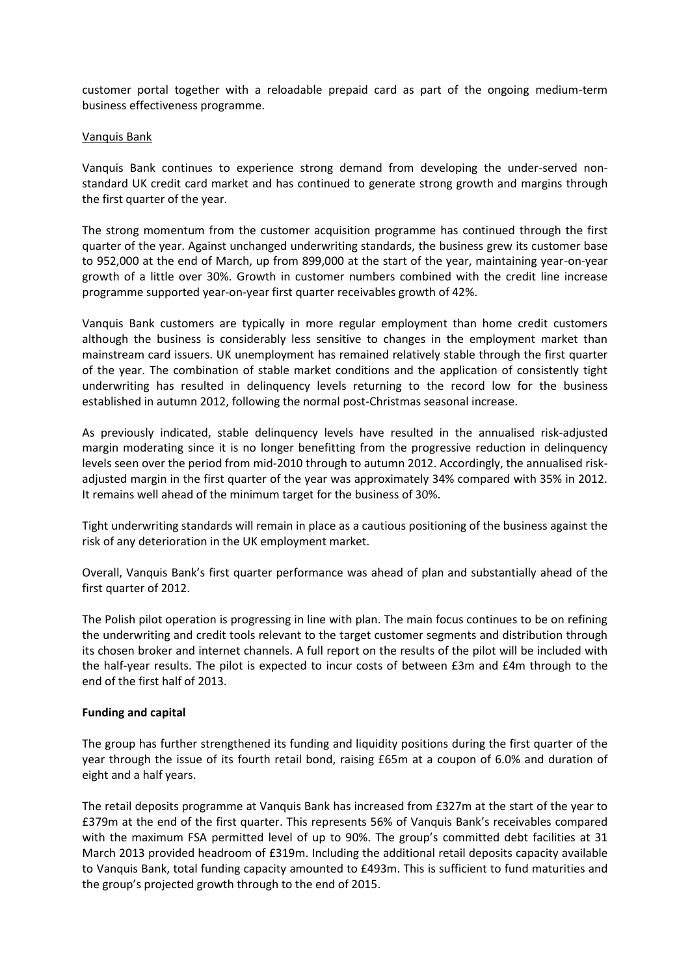customer portal together with a reloadable prepaid card as part of the ongoing medium-term business effectiveness programme.

## Vanquis Bank

Vanquis Bank continues to experience strong demand from developing the under-served nonstandard UK credit card market and has continued to generate strong growth and margins through the first quarter of the year.

The strong momentum from the customer acquisition programme has continued through the first quarter of the year. Against unchanged underwriting standards, the business grew its customer base to 952,000 at the end of March, up from 899,000 at the start of the year, maintaining year-on-year growth of a little over 30%. Growth in customer numbers combined with the credit line increase programme supported year-on-year first quarter receivables growth of 42%.

Vanquis Bank customers are typically in more regular employment than home credit customers although the business is considerably less sensitive to changes in the employment market than mainstream card issuers. UK unemployment has remained relatively stable through the first quarter of the year. The combination of stable market conditions and the application of consistently tight underwriting has resulted in delinquency levels returning to the record low for the business established in autumn 2012, following the normal post-Christmas seasonal increase.

As previously indicated, stable delinquency levels have resulted in the annualised risk-adjusted margin moderating since it is no longer benefitting from the progressive reduction in delinquency levels seen over the period from mid-2010 through to autumn 2012. Accordingly, the annualised riskadjusted margin in the first quarter of the year was approximately 34% compared with 35% in 2012. It remains well ahead of the minimum target for the business of 30%.

Tight underwriting standards will remain in place as a cautious positioning of the business against the risk of any deterioration in the UK employment market.

Overall, Vanquis Bank's first quarter performance was ahead of plan and substantially ahead of the first quarter of 2012.

The Polish pilot operation is progressing in line with plan. The main focus continues to be on refining the underwriting and credit tools relevant to the target customer segments and distribution through its chosen broker and internet channels. A full report on the results of the pilot will be included with the half-year results. The pilot is expected to incur costs of between £3m and £4m through to the end of the first half of 2013.

## **Funding and capital**

The group has further strengthened its funding and liquidity positions during the first quarter of the year through the issue of its fourth retail bond, raising £65m at a coupon of 6.0% and duration of eight and a half years.

The retail deposits programme at Vanquis Bank has increased from £327m at the start of the year to £379m at the end of the first quarter. This represents 56% of Vanquis Bank's receivables compared with the maximum FSA permitted level of up to 90%. The group's committed debt facilities at 31 March 2013 provided headroom of £319m. Including the additional retail deposits capacity available to Vanquis Bank, total funding capacity amounted to £493m. This is sufficient to fund maturities and the group's projected growth through to the end of 2015.